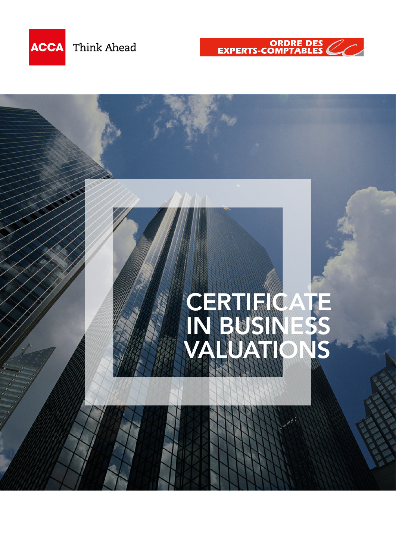

Think Ahead



# **CERTIFICATE** IN BUSINESS VALUATIONS